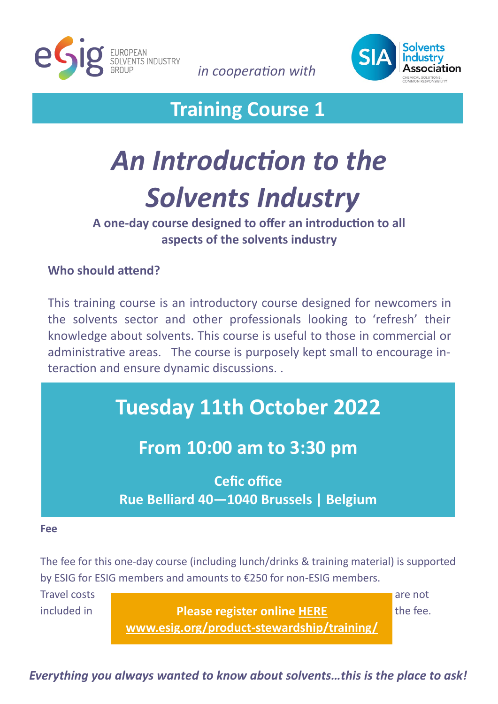

*in cooperation with* 



# **Training Course 1**

# *An Introduction to the Solvents Industry*

### **A one-day course designed to offer an introduction to all aspects of the solvents industry**

#### **Who should attend?**

This training course is an introductory course designed for newcomers in the solvents sector and other professionals looking to 'refresh' their knowledge about solvents. This course is useful to those in commercial or administrative areas. The course is purposely kept small to encourage interaction and ensure dynamic discussions. .

# **Tuesday 11th October 2022**

## **From 10:00 am to 3:30 pm**

**Cefic office Rue Belliard 40—1040 Brussels | Belgium**

#### **Fee**

The fee for this one-day course (including lunch/drinks & training material) is supported by ESIG for ESIG members and amounts to €250 for non-ESIG members.

Travel costs are not are not are not are not all the set of a set of a set of a set of a set of a set of a set

included in **the fee. Please register online HERE The fee. [www.esig.org/product](http://www.esig.org/product-stewardship/training/)-stewardship/training/**

*Everything you always wanted to know about solvents…this is the place to ask!*